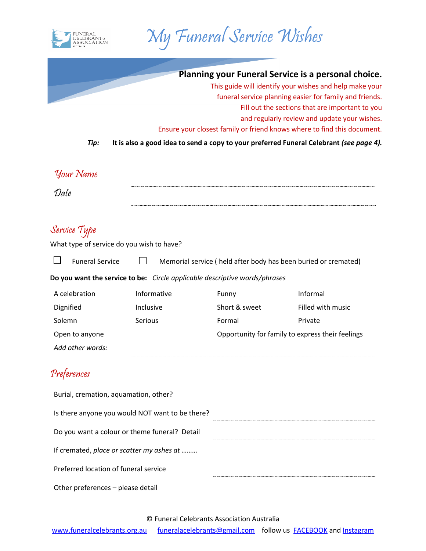



| Planning your Funeral Service is a personal choice.<br>This guide will identify your wishes and help make your<br>funeral service planning easier for family and friends.<br>Fill out the sections that are important to you<br>and regularly review and update your wishes.<br>Ensure your closest family or friend knows where to find this document.<br>It is also a good idea to send a copy to your preferred Funeral Celebrant (see page 4). |
|----------------------------------------------------------------------------------------------------------------------------------------------------------------------------------------------------------------------------------------------------------------------------------------------------------------------------------------------------------------------------------------------------------------------------------------------------|
|                                                                                                                                                                                                                                                                                                                                                                                                                                                    |
|                                                                                                                                                                                                                                                                                                                                                                                                                                                    |
|                                                                                                                                                                                                                                                                                                                                                                                                                                                    |
| Memorial service (held after body has been buried or cremated)                                                                                                                                                                                                                                                                                                                                                                                     |
|                                                                                                                                                                                                                                                                                                                                                                                                                                                    |
| Informal                                                                                                                                                                                                                                                                                                                                                                                                                                           |
| Filled with music                                                                                                                                                                                                                                                                                                                                                                                                                                  |
| Private                                                                                                                                                                                                                                                                                                                                                                                                                                            |
| Opportunity for family to express their feelings                                                                                                                                                                                                                                                                                                                                                                                                   |
|                                                                                                                                                                                                                                                                                                                                                                                                                                                    |
|                                                                                                                                                                                                                                                                                                                                                                                                                                                    |
|                                                                                                                                                                                                                                                                                                                                                                                                                                                    |
|                                                                                                                                                                                                                                                                                                                                                                                                                                                    |
|                                                                                                                                                                                                                                                                                                                                                                                                                                                    |
|                                                                                                                                                                                                                                                                                                                                                                                                                                                    |
|                                                                                                                                                                                                                                                                                                                                                                                                                                                    |
|                                                                                                                                                                                                                                                                                                                                                                                                                                                    |
|                                                                                                                                                                                                                                                                                                                                                                                                                                                    |

© Funeral Celebrants Association Australia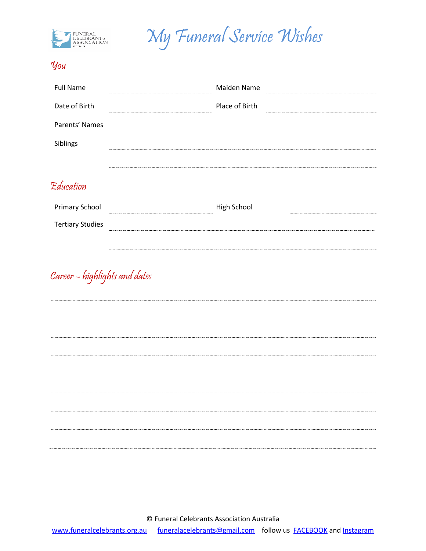



## You

| <b>Full Name</b> | Maiden Name                                  |
|------------------|----------------------------------------------|
| Date of Birth    | Place of Birth<br>-------------------------- |
| Parents' Names   |                                              |
| Siblings         |                                              |
|                  |                                              |

## Education

| <b>Primary School</b>   | High School |  |
|-------------------------|-------------|--|
| <b>Tertiary Studies</b> |             |  |
|                         |             |  |

## Career – highlights and dates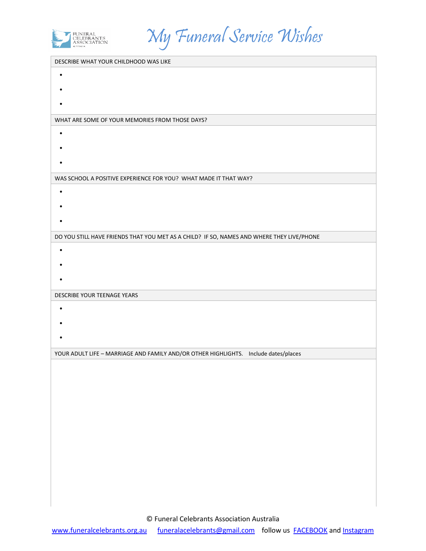

My Funeral Service Wishes

| DESCRIBE WHAT YOUR CHILDHOOD WAS LIKE                                                     |
|-------------------------------------------------------------------------------------------|
| $\bullet$                                                                                 |
|                                                                                           |
|                                                                                           |
| WHAT ARE SOME OF YOUR MEMORIES FROM THOSE DAYS?                                           |
| $\bullet$                                                                                 |
|                                                                                           |
|                                                                                           |
|                                                                                           |
| WAS SCHOOL A POSITIVE EXPERIENCE FOR YOU? WHAT MADE IT THAT WAY?                          |
| $\bullet$                                                                                 |
|                                                                                           |
|                                                                                           |
| DO YOU STILL HAVE FRIENDS THAT YOU MET AS A CHILD? IF SO, NAMES AND WHERE THEY LIVE/PHONE |
| $\bullet$                                                                                 |
|                                                                                           |
|                                                                                           |
| DESCRIBE YOUR TEENAGE YEARS                                                               |
|                                                                                           |
| $\bullet$                                                                                 |
|                                                                                           |
|                                                                                           |
| YOUR ADULT LIFE - MARRIAGE AND FAMILY AND/OR OTHER HIGHLIGHTS. Include dates/places       |
|                                                                                           |
|                                                                                           |
|                                                                                           |
|                                                                                           |
|                                                                                           |
|                                                                                           |
|                                                                                           |
|                                                                                           |
|                                                                                           |
|                                                                                           |
|                                                                                           |
|                                                                                           |

© Funeral Celebrants Association Australia